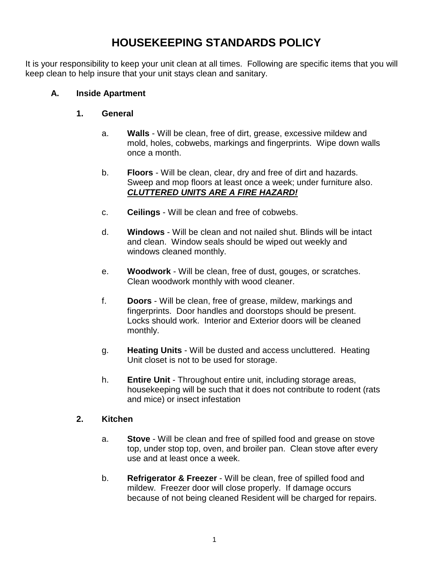## **HOUSEKEEPING STANDARDS POLICY**

It is your responsibility to keep your unit clean at all times. Following are specific items that you will keep clean to help insure that your unit stays clean and sanitary.

### **A. Inside Apartment**

### **1. General**

- a. **Walls** Will be clean, free of dirt, grease, excessive mildew and mold, holes, cobwebs, markings and fingerprints. Wipe down walls once a month.
- b. **Floors** Will be clean, clear, dry and free of dirt and hazards. Sweep and mop floors at least once a week; under furniture also. *CLUTTERED UNITS ARE A FIRE HAZARD!*
- c. **Ceilings** Will be clean and free of cobwebs.
- d. **Windows** Will be clean and not nailed shut. Blinds will be intact and clean. Window seals should be wiped out weekly and windows cleaned monthly.
- e. **Woodwork** Will be clean, free of dust, gouges, or scratches. Clean woodwork monthly with wood cleaner.
- f. **Doors** Will be clean, free of grease, mildew, markings and fingerprints. Door handles and doorstops should be present. Locks should work. Interior and Exterior doors will be cleaned monthly.
- g. **Heating Units** Will be dusted and access uncluttered. Heating Unit closet is not to be used for storage.
- h. **Entire Unit** Throughout entire unit, including storage areas, housekeeping will be such that it does not contribute to rodent (rats and mice) or insect infestation

## **2. Kitchen**

- a. **Stove** Will be clean and free of spilled food and grease on stove top, under stop top, oven, and broiler pan. Clean stove after every use and at least once a week.
- b. **Refrigerator & Freezer** Will be clean, free of spilled food and mildew. Freezer door will close properly. If damage occurs because of not being cleaned Resident will be charged for repairs.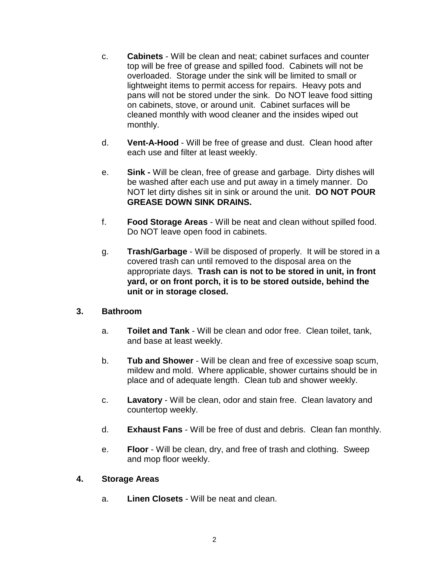- c. **Cabinets** Will be clean and neat; cabinet surfaces and counter top will be free of grease and spilled food. Cabinets will not be overloaded. Storage under the sink will be limited to small or lightweight items to permit access for repairs. Heavy pots and pans will not be stored under the sink. Do NOT leave food sitting on cabinets, stove, or around unit. Cabinet surfaces will be cleaned monthly with wood cleaner and the insides wiped out monthly.
- d. **Vent-A-Hood** Will be free of grease and dust. Clean hood after each use and filter at least weekly.
- e. **Sink -** Will be clean, free of grease and garbage. Dirty dishes will be washed after each use and put away in a timely manner. Do NOT let dirty dishes sit in sink or around the unit. **DO NOT POUR GREASE DOWN SINK DRAINS.**
- f. **Food Storage Areas** Will be neat and clean without spilled food. Do NOT leave open food in cabinets.
- g. **Trash/Garbage** Will be disposed of properly. It will be stored in a covered trash can until removed to the disposal area on the appropriate days. **Trash can is not to be stored in unit, in front yard, or on front porch, it is to be stored outside, behind the unit or in storage closed.**

#### **3. Bathroom**

- a. **Toilet and Tank** Will be clean and odor free. Clean toilet, tank, and base at least weekly.
- b. **Tub and Shower** Will be clean and free of excessive soap scum, mildew and mold. Where applicable, shower curtains should be in place and of adequate length. Clean tub and shower weekly.
- c. **Lavatory** Will be clean, odor and stain free. Clean lavatory and countertop weekly.
- d. **Exhaust Fans** Will be free of dust and debris. Clean fan monthly.
- e. **Floor** Will be clean, dry, and free of trash and clothing. Sweep and mop floor weekly.

#### **4. Storage Areas**

a. **Linen Closets** - Will be neat and clean.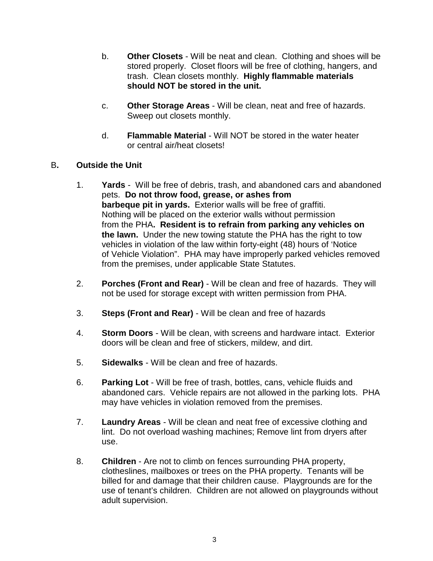- b. **Other Closets** Will be neat and clean. Clothing and shoes will be stored properly. Closet floors will be free of clothing, hangers, and trash. Clean closets monthly. **Highly flammable materials should NOT be stored in the unit.**
- c. **Other Storage Areas** Will be clean, neat and free of hazards. Sweep out closets monthly.
- d. **Flammable Material** Will NOT be stored in the water heater or central air/heat closets!
- B**. Outside the Unit**
	- 1. **Yards** Will be free of debris, trash, and abandoned cars and abandoned pets. **Do not throw food, grease, or ashes from barbeque pit in yards.** Exterior walls will be free of graffiti. Nothing will be placed on the exterior walls without permission from the PHA**. Resident is to refrain from parking any vehicles on the lawn.** Under the new towing statute the PHA has the right to tow vehicles in violation of the law within forty-eight (48) hours of 'Notice of Vehicle Violation". PHA may have improperly parked vehicles removed from the premises, under applicable State Statutes.
	- 2. **Porches (Front and Rear)** Will be clean and free of hazards. They will not be used for storage except with written permission from PHA.
	- 3. **Steps (Front and Rear)** Will be clean and free of hazards
	- 4. **Storm Doors** Will be clean, with screens and hardware intact. Exterior doors will be clean and free of stickers, mildew, and dirt.
	- 5. **Sidewalks** Will be clean and free of hazards.
	- 6. **Parking Lot** Will be free of trash, bottles, cans, vehicle fluids and abandoned cars. Vehicle repairs are not allowed in the parking lots. PHA may have vehicles in violation removed from the premises.
	- 7. **Laundry Areas** Will be clean and neat free of excessive clothing and lint. Do not overload washing machines; Remove lint from dryers after use.
	- 8. **Children** Are not to climb on fences surrounding PHA property, clotheslines, mailboxes or trees on the PHA property. Tenants will be billed for and damage that their children cause. Playgrounds are for the use of tenant's children. Children are not allowed on playgrounds without adult supervision.